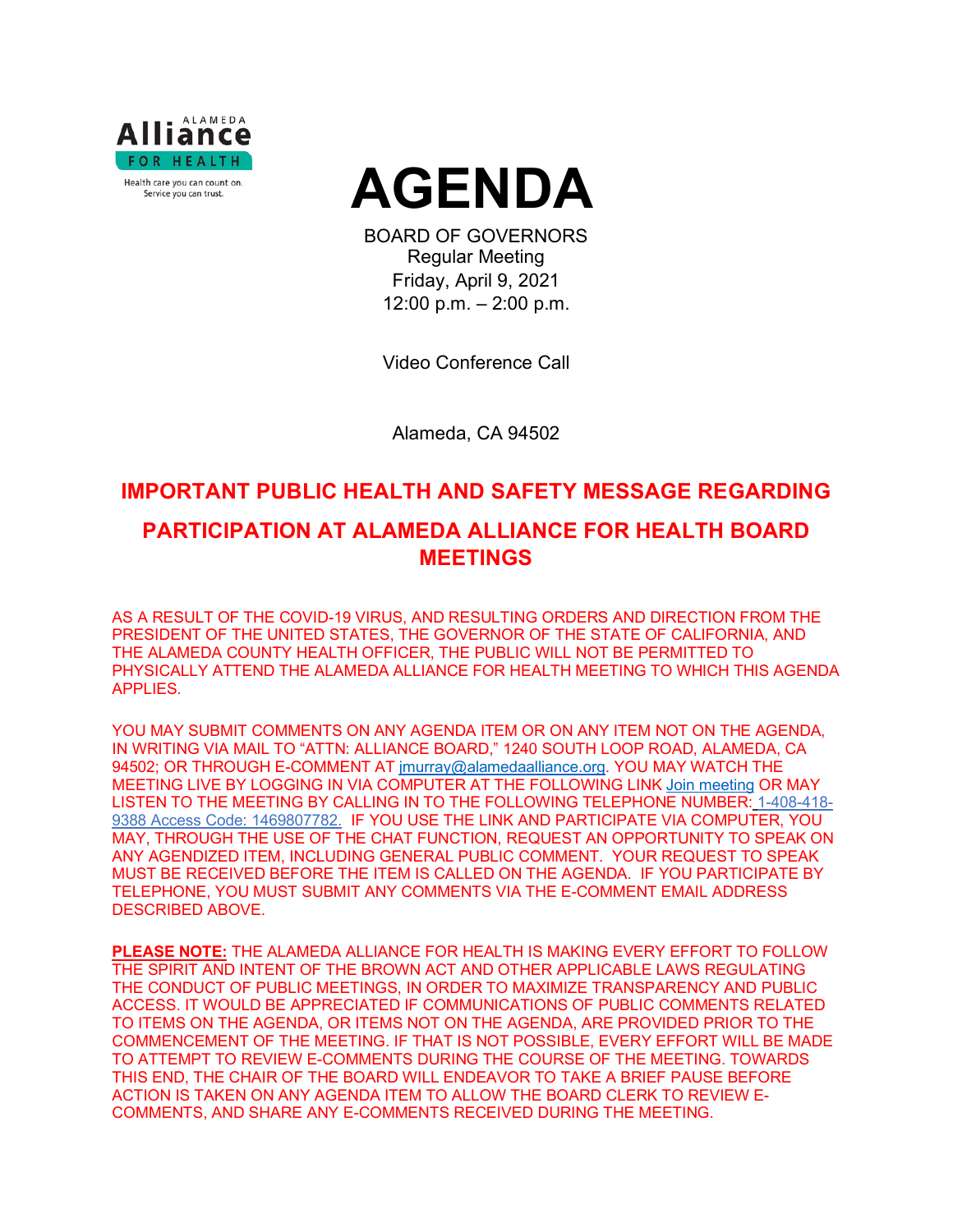



BOARD OF GOVERNORS Regular Meeting Friday, April 9, 2021 12:00 p.m. – 2:00 p.m.

Video Conference Call

Alameda, CA 94502

# **IMPORTANT PUBLIC HEALTH AND SAFETY MESSAGE REGARDING PARTICIPATION AT ALAMEDA ALLIANCE FOR HEALTH BOARD MEETINGS**

AS A RESULT OF THE COVID-19 VIRUS, AND RESULTING ORDERS AND DIRECTION FROM THE PRESIDENT OF THE UNITED STATES, THE GOVERNOR OF THE STATE OF CALIFORNIA, AND THE ALAMEDA COUNTY HEALTH OFFICER, THE PUBLIC WILL NOT BE PERMITTED TO PHYSICALLY ATTEND THE ALAMEDA ALLIANCE FOR HEALTH MEETING TO WHICH THIS AGENDA APPLIES.

YOU MAY SUBMIT COMMENTS ON ANY AGENDA ITEM OR ON ANY ITEM NOT ON THE AGENDA, IN WRITING VIA MAIL TO "ATTN: ALLIANCE BOARD," 1240 SOUTH LOOP ROAD, ALAMEDA, CA 94502; OR THROUGH E-COMMENT AT [jmurray@alamedaalliance.org.](mailto:jmurray@alamedaalliance.org) YOU MAY WATCH THE MEETING LIVE BY LOGGING IN VIA COMPUTER AT THE FOLLOWING LINK [Join meeting](https://alamedaalliance.webex.com/alamedaalliance/j.php?MTID=m4fefbe72831c76b47303fd84ed522225) OR MAY LISTEN TO THE MEETING BY CALLING IN TO THE FOLLOWING TELEPHONE NUMBER: 1-408-418- 9388 Access Code: 1469807782. IF YOU USE THE LINK AND PARTICIPATE VIA COMPUTER, YOU MAY, THROUGH THE USE OF THE CHAT FUNCTION, REQUEST AN OPPORTUNITY TO SPEAK ON ANY AGENDIZED ITEM, INCLUDING GENERAL PUBLIC COMMENT. YOUR REQUEST TO SPEAK MUST BE RECEIVED BEFORE THE ITEM IS CALLED ON THE AGENDA. IF YOU PARTICIPATE BY TELEPHONE, YOU MUST SUBMIT ANY COMMENTS VIA THE E-COMMENT EMAIL ADDRESS DESCRIBED ABOVE.

**PLEASE NOTE:** THE ALAMEDA ALLIANCE FOR HEALTH IS MAKING EVERY EFFORT TO FOLLOW THE SPIRIT AND INTENT OF THE BROWN ACT AND OTHER APPLICABLE LAWS REGULATING THE CONDUCT OF PUBLIC MEETINGS, IN ORDER TO MAXIMIZE TRANSPARENCY AND PUBLIC ACCESS. IT WOULD BE APPRECIATED IF COMMUNICATIONS OF PUBLIC COMMENTS RELATED TO ITEMS ON THE AGENDA, OR ITEMS NOT ON THE AGENDA, ARE PROVIDED PRIOR TO THE COMMENCEMENT OF THE MEETING. IF THAT IS NOT POSSIBLE, EVERY EFFORT WILL BE MADE TO ATTEMPT TO REVIEW E-COMMENTS DURING THE COURSE OF THE MEETING. TOWARDS THIS END, THE CHAIR OF THE BOARD WILL ENDEAVOR TO TAKE A BRIEF PAUSE BEFORE ACTION IS TAKEN ON ANY AGENDA ITEM TO ALLOW THE BOARD CLERK TO REVIEW E-COMMENTS, AND SHARE ANY E-COMMENTS RECEIVED DURING THE MEETING.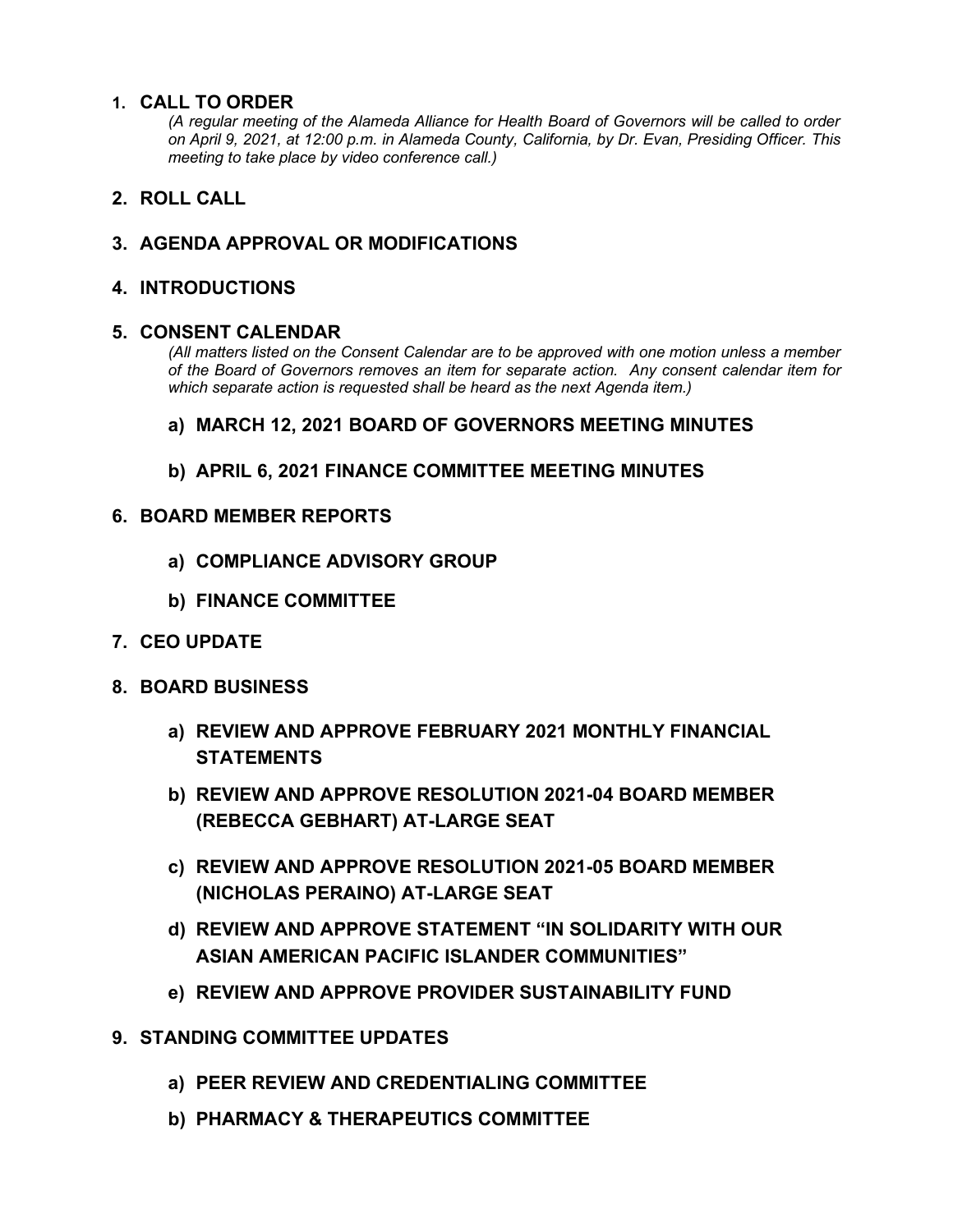#### **1. CALL TO ORDER**

*(A regular meeting of the Alameda Alliance for Health Board of Governors will be called to order on April 9, 2021, at 12:00 p.m. in Alameda County, California, by Dr. Evan, Presiding Officer. This meeting to take place by video conference call.)*

## **2. ROLL CALL**

## **3. AGENDA APPROVAL OR MODIFICATIONS**

#### **4. INTRODUCTIONS**

#### **5. CONSENT CALENDAR**

*(All matters listed on the Consent Calendar are to be approved with one motion unless a member of the Board of Governors removes an item for separate action. Any consent calendar item for which separate action is requested shall be heard as the next Agenda item.)*

#### **a) MARCH 12, 2021 BOARD OF GOVERNORS MEETING MINUTES**

**b) APRIL 6, 2021 FINANCE COMMITTEE MEETING MINUTES**

#### **6. BOARD MEMBER REPORTS**

- **a) COMPLIANCE ADVISORY GROUP**
- **b) FINANCE COMMITTEE**
- **7. CEO UPDATE**
- **8. BOARD BUSINESS**
	- **a) REVIEW AND APPROVE FEBRUARY 2021 MONTHLY FINANCIAL STATEMENTS**
	- **b) REVIEW AND APPROVE RESOLUTION 2021-04 BOARD MEMBER (REBECCA GEBHART) AT-LARGE SEAT**
	- **c) REVIEW AND APPROVE RESOLUTION 2021-05 BOARD MEMBER (NICHOLAS PERAINO) AT-LARGE SEAT**
	- **d) REVIEW AND APPROVE STATEMENT "IN SOLIDARITY WITH OUR ASIAN AMERICAN PACIFIC ISLANDER COMMUNITIES"**
	- **e) REVIEW AND APPROVE PROVIDER SUSTAINABILITY FUND**
- **9. STANDING COMMITTEE UPDATES**
	- **a) PEER REVIEW AND CREDENTIALING COMMITTEE**
	- **b) PHARMACY & THERAPEUTICS COMMITTEE**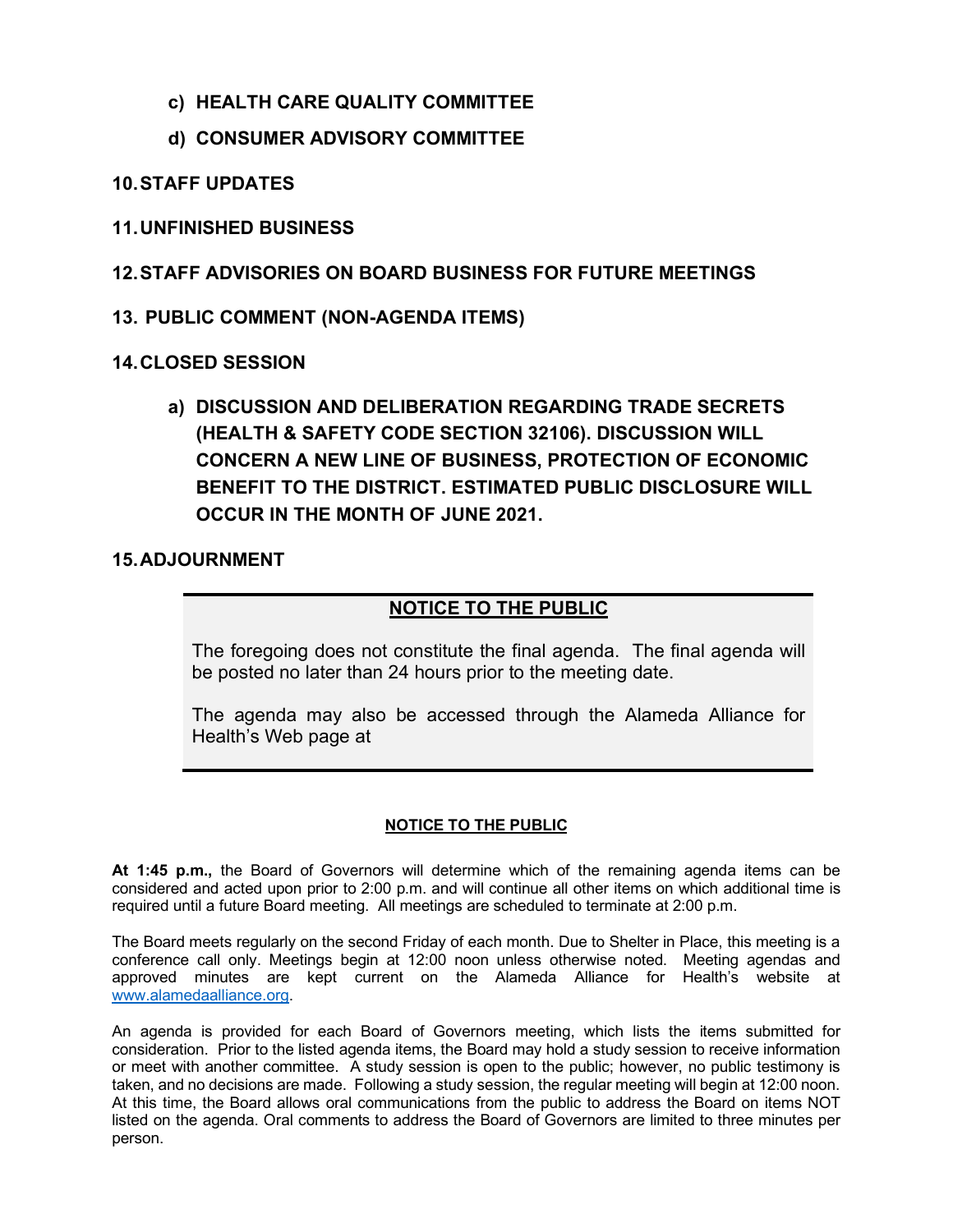- **c) HEALTH CARE QUALITY COMMITTEE**
- **d) CONSUMER ADVISORY COMMITTEE**

## **10.STAFF UPDATES**

## **11.UNFINISHED BUSINESS**

**12.STAFF ADVISORIES ON BOARD BUSINESS FOR FUTURE MEETINGS**

## **13. PUBLIC COMMENT (NON-AGENDA ITEMS)**

#### **14.CLOSED SESSION**

**a) DISCUSSION AND DELIBERATION REGARDING TRADE SECRETS (HEALTH & SAFETY CODE SECTION 32106). DISCUSSION WILL CONCERN A NEW LINE OF BUSINESS, PROTECTION OF ECONOMIC BENEFIT TO THE DISTRICT. ESTIMATED PUBLIC DISCLOSURE WILL OCCUR IN THE MONTH OF JUNE 2021.** 

#### **15.ADJOURNMENT**

# **NOTICE TO THE PUBLIC**

The foregoing does not constitute the final agenda. The final agenda will be posted no later than 24 hours prior to the meeting date.

The agenda may also be accessed through the Alameda Alliance for Health's Web page at

#### **NOTICE TO THE PUBLIC**

**At 1:45 p.m.,** the Board of Governors will determine which of the remaining agenda items can be considered and acted upon prior to 2:00 p.m. and will continue all other items on which additional time is required until a future Board meeting. All meetings are scheduled to terminate at 2:00 p.m.

The Board meets regularly on the second Friday of each month. Due to Shelter in Place, this meeting is a conference call only. Meetings begin at 12:00 noon unless otherwise noted. Meeting agendas and approved minutes are kept current on the Alameda Alliance for Health's website at [www.alamedaalliance.org.](http://www.alamedaalliance.org/)

An agenda is provided for each Board of Governors meeting, which lists the items submitted for consideration. Prior to the listed agenda items, the Board may hold a study session to receive information or meet with another committee. A study session is open to the public; however, no public testimony is taken, and no decisions are made. Following a study session, the regular meeting will begin at 12:00 noon. At this time, the Board allows oral communications from the public to address the Board on items NOT listed on the agenda. Oral comments to address the Board of Governors are limited to three minutes per person.